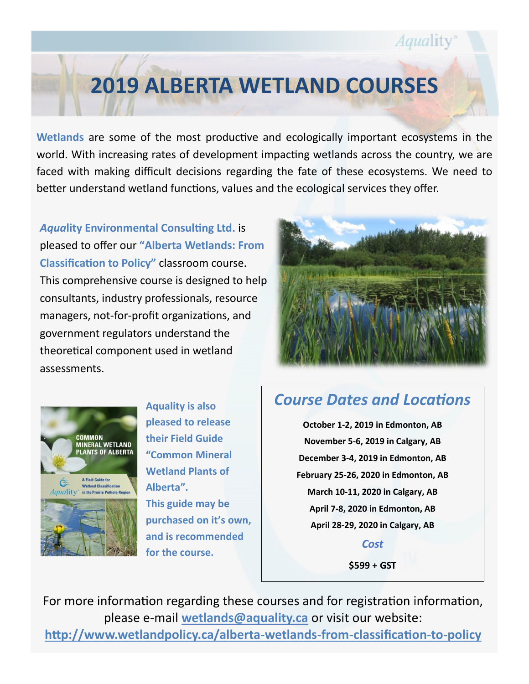## **2019 ALBERTA WETLAND COURSES**

**Wetlands** are some of the most productive and ecologically important ecosystems in the world. With increasing rates of development impacting wetlands across the country, we are faced with making difficult decisions regarding the fate of these ecosystems. We need to better understand wetland functions, values and the ecological services they offer.

*Aqua***[lity Environmental Consulting Ltd.](http://www.aquality.ca/)** is pleased to offer our **"Alberta Wetlands: From Classification to Policy"** classroom course. This comprehensive course is designed to help consultants, industry professionals, resource managers, not-for-profit organizations, and government regulators understand the theoretical component used in wetland assessments.



*Aquality* 



**Aquality is also pleased to release their Field Guide "Common Mineral Wetland Plants of Alberta". This guide may be purchased on it's own, and is recommended for the course.**

## *Course Dates and Locations*

**October 1-2, 2019 in Edmonton, AB November 5-6, 2019 in Calgary, AB December 3-4, 2019 in Edmonton, AB February 25-26, 2020 in Edmonton, AB March 10-11, 2020 in Calgary, AB April 7-8, 2020 in Edmonton, AB April 28-29, 2020 in Calgary, AB**

> *Cost* **\$599 + GST**

For more information regarding these courses and for registration information, please e-mail **[wetlands@aquality.ca](mailto:courtney.kelly@aquality.ca)** or visit our website: **[http://www.wetlandpolicy.ca/alberta](http://www.wetlandpolicy.ca/alberta-wetlands-from-classification-to-policy)-wetlands-from-classification-to-policy**